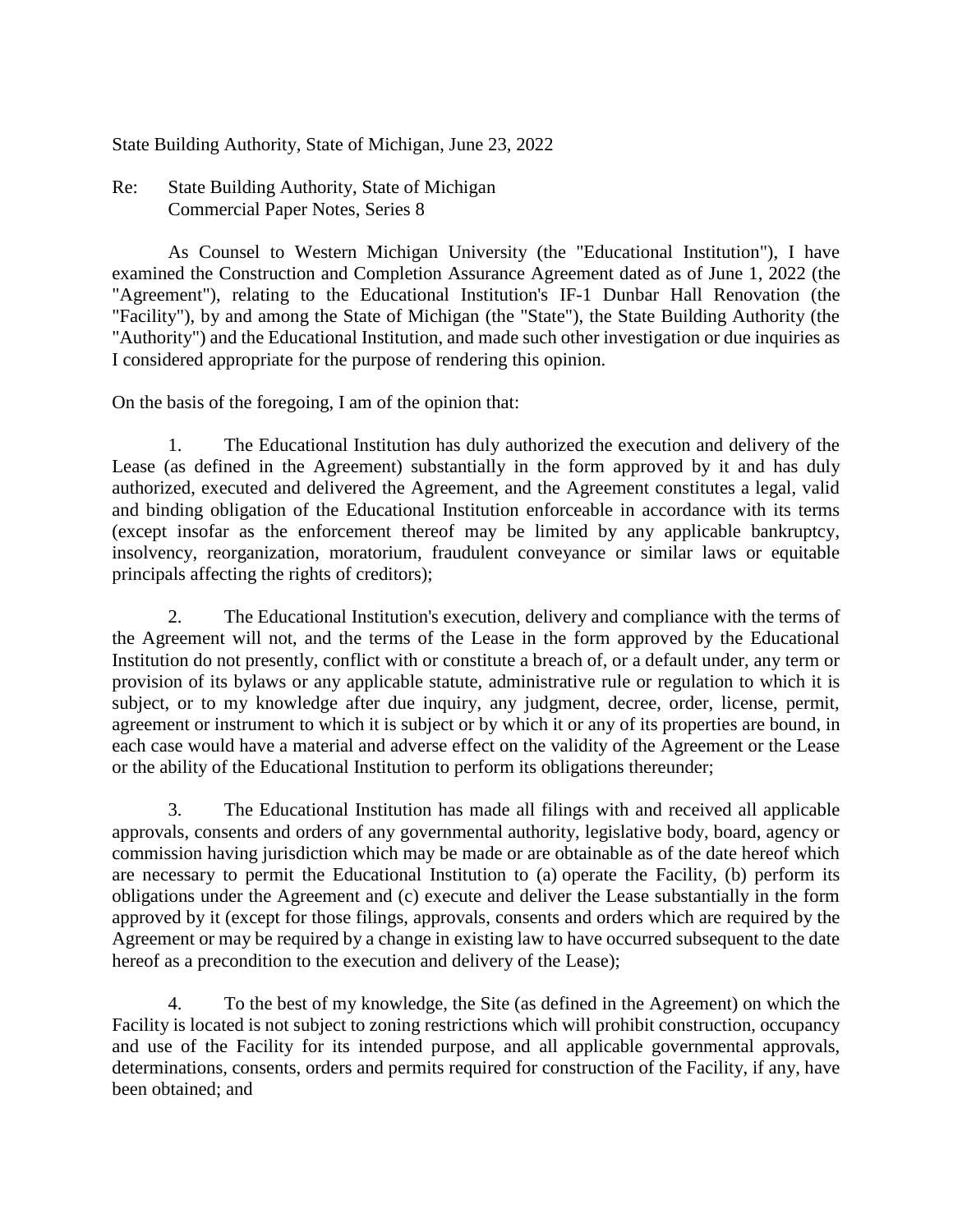State Building Authority, State of Michigan, June 23, 2022

Re: State Building Authority, State of Michigan Commercial Paper Notes, Series 8

As Counsel to Western Michigan University (the "Educational Institution"), I have examined the Construction and Completion Assurance Agreement dated as of June 1, 2022 (the "Agreement"), relating to the Educational Institution's IF-1 Dunbar Hall Renovation (the "Facility"), by and among the State of Michigan (the "State"), the State Building Authority (the "Authority") and the Educational Institution, and made such other investigation or due inquiries as I considered appropriate for the purpose of rendering this opinion.

On the basis of the foregoing, I am of the opinion that:

1. The Educational Institution has duly authorized the execution and delivery of the Lease (as defined in the Agreement) substantially in the form approved by it and has duly authorized, executed and delivered the Agreement, and the Agreement constitutes a legal, valid and binding obligation of the Educational Institution enforceable in accordance with its terms (except insofar as the enforcement thereof may be limited by any applicable bankruptcy, insolvency, reorganization, moratorium, fraudulent conveyance or similar laws or equitable principals affecting the rights of creditors);

2. The Educational Institution's execution, delivery and compliance with the terms of the Agreement will not, and the terms of the Lease in the form approved by the Educational Institution do not presently, conflict with or constitute a breach of, or a default under, any term or provision of its bylaws or any applicable statute, administrative rule or regulation to which it is subject, or to my knowledge after due inquiry, any judgment, decree, order, license, permit, agreement or instrument to which it is subject or by which it or any of its properties are bound, in each case would have a material and adverse effect on the validity of the Agreement or the Lease or the ability of the Educational Institution to perform its obligations thereunder;

3. The Educational Institution has made all filings with and received all applicable approvals, consents and orders of any governmental authority, legislative body, board, agency or commission having jurisdiction which may be made or are obtainable as of the date hereof which are necessary to permit the Educational Institution to (a) operate the Facility, (b) perform its obligations under the Agreement and (c) execute and deliver the Lease substantially in the form approved by it (except for those filings, approvals, consents and orders which are required by the Agreement or may be required by a change in existing law to have occurred subsequent to the date hereof as a precondition to the execution and delivery of the Lease);

4. To the best of my knowledge, the Site (as defined in the Agreement) on which the Facility is located is not subject to zoning restrictions which will prohibit construction, occupancy and use of the Facility for its intended purpose, and all applicable governmental approvals, determinations, consents, orders and permits required for construction of the Facility, if any, have been obtained; and